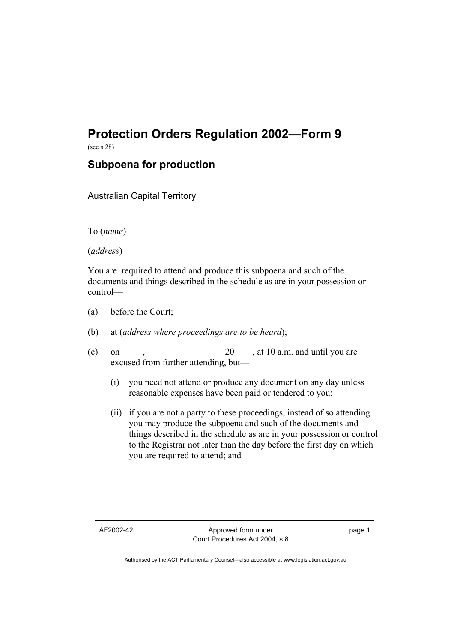# **Protection Orders Regulation 2002—Form 9**

(see s 28)

## **Subpoena for production**

Australian Capital Territory

To (*name*)

(*address*)

You are required to attend and produce this subpoena and such of the documents and things described in the schedule as are in your possession or control—

- (a) before the Court;
- (b) at (*address where proceedings are to be heard*);
- (c) on ,  $20$  , at 10 a.m. and until you are excused from further attending, but—
	- (i) you need not attend or produce any document on any day unless reasonable expenses have been paid or tendered to you;
	- (ii) if you are not a party to these proceedings, instead of so attending you may produce the subpoena and such of the documents and things described in the schedule as are in your possession or control to the Registrar not later than the day before the first day on which you are required to attend; and

page 1

Authorised by the ACT Parliamentary Counsel—also accessible at www.legislation.act.gov.au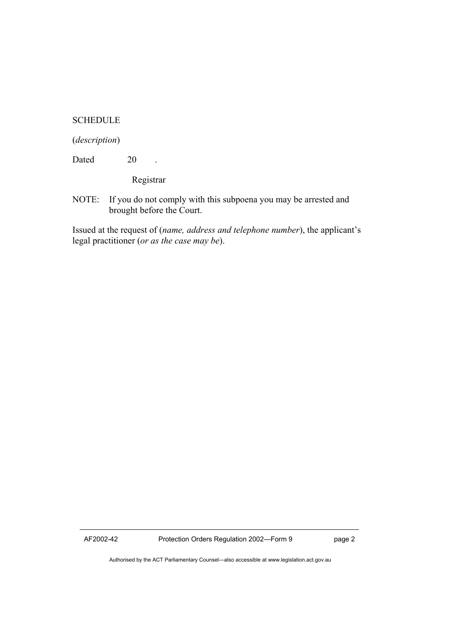#### **SCHEDULE**

#### (*description*)

Dated 20 .

Registrar

NOTE: If you do not comply with this subpoena you may be arrested and brought before the Court.

Issued at the request of (*name, address and telephone number*), the applicant's legal practitioner (*or as the case may be*).

Authorised by the ACT Parliamentary Counsel—also accessible at www.legislation.act.gov.au